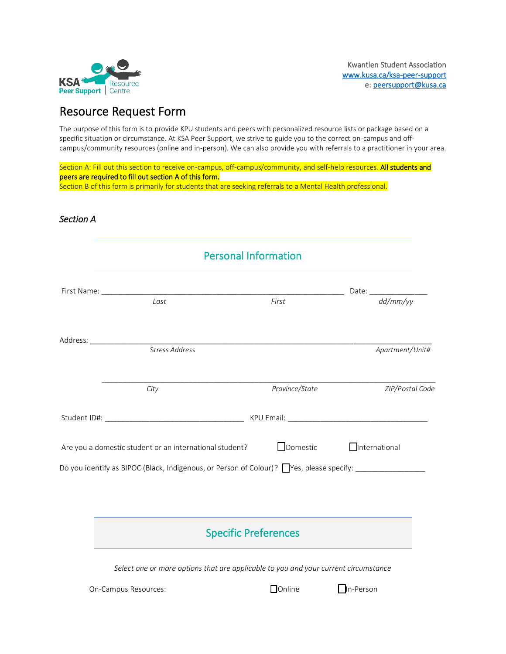

# Resource Request Form

The purpose of this form is to provide KPU students and peers with personalized resource lists or package based on a specific situation or circumstance. At KSA Peer Support, we strive to guide you to the correct on-campus and offcampus/community resources (online and in-person). We can also provide you with referrals to a practitioner in your area.

Section A: Fill out this section to receive on-campus, off-campus/community, and self-help resources. All students and peers are required to fill out section A of this form. Section B of this form is primarily for students that are seeking referrals to a Mental Health professional.

# *Section A*

| <b>Personal Information</b>                                                                                |                                                                                                                                                 |                                   |  |  |
|------------------------------------------------------------------------------------------------------------|-------------------------------------------------------------------------------------------------------------------------------------------------|-----------------------------------|--|--|
|                                                                                                            |                                                                                                                                                 |                                   |  |  |
| Last                                                                                                       | First                                                                                                                                           | Date: $\frac{dd/mm/yy}{dd/mm/yy}$ |  |  |
|                                                                                                            |                                                                                                                                                 |                                   |  |  |
| Stress Address                                                                                             |                                                                                                                                                 | Apartment/Unit#                   |  |  |
| City                                                                                                       | Province/State                                                                                                                                  | ZIP/Postal Code                   |  |  |
|                                                                                                            |                                                                                                                                                 |                                   |  |  |
| Are you a domestic student or an international student?                                                    | Domestic                                                                                                                                        | <b>International</b>              |  |  |
| Do you identify as BIPOC (Black, Indigenous, or Person of Colour)? Nes, please specify: __________________ |                                                                                                                                                 |                                   |  |  |
|                                                                                                            |                                                                                                                                                 |                                   |  |  |
|                                                                                                            | and the control of the control of the control of the control of the control of the control of the control of the<br><b>Specific Preferences</b> |                                   |  |  |
| Select one or more options that are applicable to you and your current circumstance                        |                                                                                                                                                 |                                   |  |  |
| On-Campus Resources:                                                                                       | <b>Donline</b>                                                                                                                                  | In-Person                         |  |  |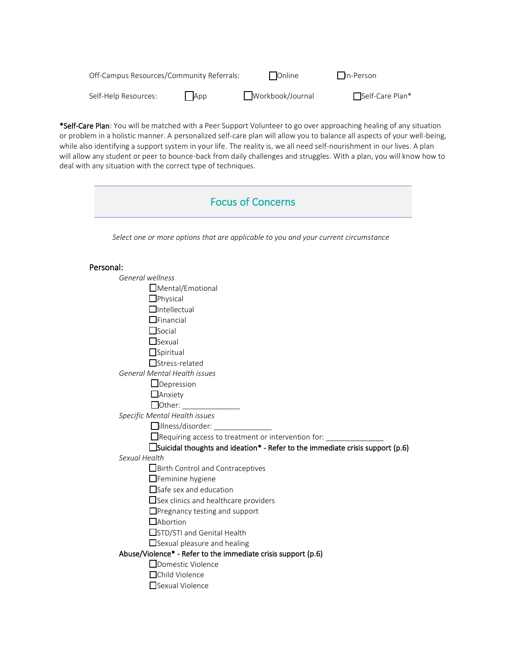| Off-Campus Resources/Community Referrals: |            | l lOnline        | I In-Person      |
|-------------------------------------------|------------|------------------|------------------|
| Self-Help Resources:                      | $\Box$ App | Workbook/Journal | ■Self-Care Plan* |

\*Self-Care Plan: You will be matched with a Peer Support Volunteer to go over approaching healing of any situation or problem in a holistic manner. A personalized self-care plan will allow you to balance all aspects of your well-being, while also identifying a support system in your life. The reality is, we all need self-nourishment in our lives. A plan will allow any student or peer to bounce-back from daily challenges and struggles. With a plan, you will know how to deal with any situation with the correct type of techniques.

| <b>Focus of Concerns</b>                                                             |  |  |
|--------------------------------------------------------------------------------------|--|--|
| Select one or more options that are applicable to you and your current circumstance  |  |  |
| Personal:                                                                            |  |  |
| General wellness                                                                     |  |  |
| $\Box$ Mental/Emotional                                                              |  |  |
| $\Box$ Physical                                                                      |  |  |
| $\Box$ Intellectual                                                                  |  |  |
| $\Box$ Financial                                                                     |  |  |
| $\Box$ Social                                                                        |  |  |
| $\Box$ Sexual                                                                        |  |  |
| $\Box$ Spiritual                                                                     |  |  |
| □Stress-related                                                                      |  |  |
| General Mental Health issues                                                         |  |  |
| $\Box$ Depression                                                                    |  |  |
| $\Box$ Anxiety                                                                       |  |  |
|                                                                                      |  |  |
| Specific Mental Health issues                                                        |  |  |
| $\Box$ illness/disorder:                                                             |  |  |
| $\Box$ Requiring access to treatment or intervention for: $\rule{1em}{0.15mm}$       |  |  |
| $\Box$ Suicidal thoughts and ideation* - Refer to the immediate crisis support (p.6) |  |  |
| Sexual Health                                                                        |  |  |
| Birth Control and Contraceptives                                                     |  |  |
| $\Box$ Feminine hygiene                                                              |  |  |
| $\Box$ Safe sex and education                                                        |  |  |
| $\Box$ Sex clinics and healthcare providers                                          |  |  |
| □Pregnancy testing and support                                                       |  |  |
| <b>H</b> Abortion                                                                    |  |  |
| STD/STI and Genital Health                                                           |  |  |
| $\Box$ Sexual pleasure and healing                                                   |  |  |
| Abuse/Violence* - Refer to the immediate crisis support (p.6)                        |  |  |
| Domestic Violence                                                                    |  |  |
| □Child Violence                                                                      |  |  |
| $\Box$ Sexual Violence                                                               |  |  |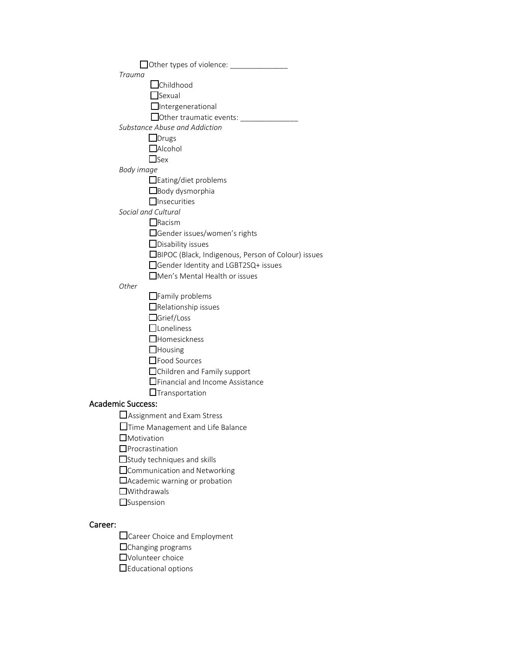| Other types of violence: ________________                  |  |  |  |
|------------------------------------------------------------|--|--|--|
| Trauma                                                     |  |  |  |
| _Childhood                                                 |  |  |  |
| Sexual                                                     |  |  |  |
| $\Box$ Intergenerational                                   |  |  |  |
| $\Box$ Other traumatic events:                             |  |  |  |
| Substance Abuse and Addiction                              |  |  |  |
| $\Box$ Drugs                                               |  |  |  |
| $\Box$ Alcohol                                             |  |  |  |
| $\Box$ Sex                                                 |  |  |  |
| Body image                                                 |  |  |  |
| □ Eating/diet problems                                     |  |  |  |
| $\Box$ Body dysmorphia                                     |  |  |  |
| $\Box$ Insecurities                                        |  |  |  |
| Social and Cultural                                        |  |  |  |
| $\Box$ Racism                                              |  |  |  |
| □Gender issues/women's rights                              |  |  |  |
| $\Box$ Disability issues                                   |  |  |  |
| □BIPOC (Black, Indigenous, Person of Colour) issues        |  |  |  |
| □Gender Identity and LGBT2SQ+ issues                       |  |  |  |
| Men's Mental Health or issues                              |  |  |  |
| Other                                                      |  |  |  |
| $\Box$ Family problems                                     |  |  |  |
| $\Box$ Relationship issues                                 |  |  |  |
| □Grief/Loss                                                |  |  |  |
| $\Box$ Loneliness                                          |  |  |  |
| $\Box$ Homesickness                                        |  |  |  |
| $\Box$ Housing                                             |  |  |  |
| Food Sources                                               |  |  |  |
| □Children and Family support                               |  |  |  |
| □ Financial and Income Assistance                          |  |  |  |
| $\Box$ Transportation                                      |  |  |  |
| <b>Academic Success:</b>                                   |  |  |  |
| Assignment and Exam Stress                                 |  |  |  |
|                                                            |  |  |  |
| Time Management and Life Balance<br>$\Box$ Motivation      |  |  |  |
| $\mathsf{J}$ Procrastination                               |  |  |  |
| $\Box$ Study techniques and skills                         |  |  |  |
|                                                            |  |  |  |
| □ Communication and Networking                             |  |  |  |
| $\Box$ Academic warning or probation<br>$\Box$ Withdrawals |  |  |  |
|                                                            |  |  |  |
| <b>Suspension</b>                                          |  |  |  |
|                                                            |  |  |  |
| Career:                                                    |  |  |  |
| Career Choice and Employment                               |  |  |  |
| $\Box$ Changing programs                                   |  |  |  |

- ☐Volunteer choice
- ☐Educational options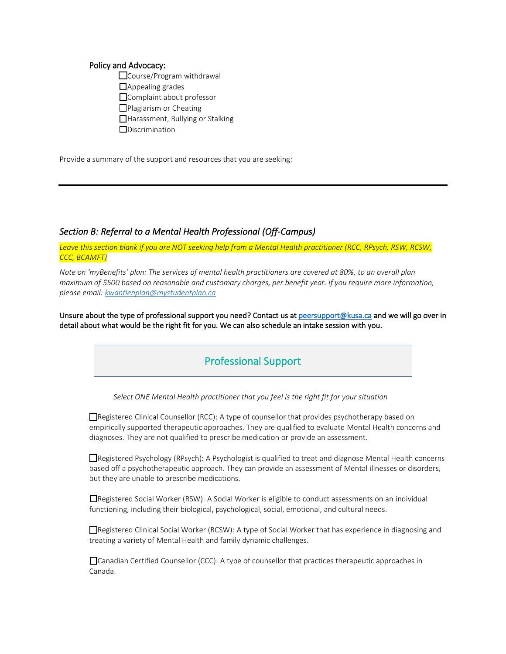#### Policy and Advocacy:

- □Course/Program withdrawal □Appealing grades □Complaint about professor ☐Plagiarism or Cheating
- ☐Harassment, Bullying or Stalking
- ☐Discrimination

Provide a summary of the support and resources that you are seeking:

### *Section B: Referral to a Mental Health Professional (Off-Campus)*

*Leave this section blank if you are NOT seeking help from a Mental Health practitioner (RCC, RPsych, RSW, RCSW, CCC, BCAMFT)*

*Note on 'myBenefits' plan: The services of mental health practitioners are covered at 80%, to an overall plan maximum of \$500 based on reasonable and customary charges, per benefit year. If you require more information, please email: [kwantlenplan@mystudentplan.ca](mailto:kwantlenplan@mystudentplan.ca)*

Unsure about the type of professional support you need? Contact us a[t peersupport@kusa.ca](mailto:peersupport@kusa.ca) and we will go over in detail about what would be the right fit for you. We can also schedule an intake session with you.

# Professional Support

 *Select ONE Mental Health practitioner that you feel is the right fit for your situation* 

☐Registered Clinical Counsellor (RCC): A type of counsellor that provides psychotherapy based on empirically supported therapeutic approaches. They are qualified to evaluate Mental Health concerns and diagnoses. They are not qualified to prescribe medication or provide an assessment.

☐Registered Psychology (RPsych): A Psychologist is qualified to treat and diagnose Mental Health concerns based off a psychotherapeutic approach. They can provide an assessment of Mental illnesses or disorders, but they are unable to prescribe medications.

☐Registered Social Worker (RSW): A Social Worker is eligible to conduct assessments on an individual functioning, including their biological, psychological, social, emotional, and cultural needs.

☐Registered Clinical Social Worker (RCSW): A type of Social Worker that has experience in diagnosing and treating a variety of Mental Health and family dynamic challenges.

☐Canadian Certified Counsellor (CCC): A type of counsellor that practices therapeutic approaches in Canada.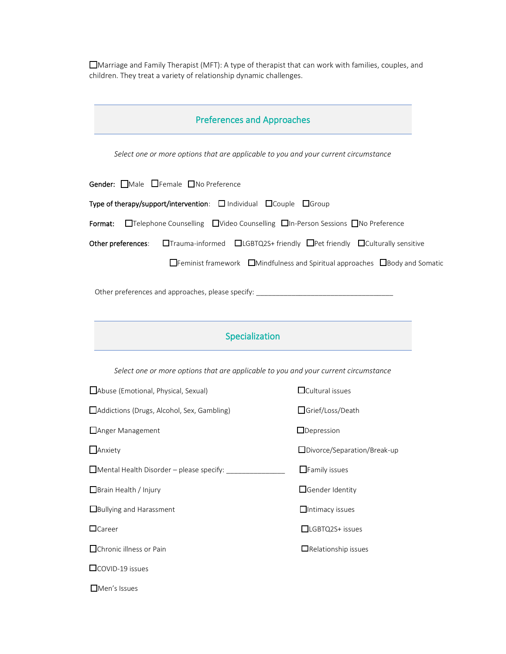☐Marriage and Family Therapist (MFT): A type of therapist that can work with families, couples, and children. They treat a variety of relationship dynamic challenges.

## Preferences and Approaches

*Select one or more options that are applicable to you and your current circumstance*

Gender: □Male □Female □No Preference

Type of therapy/support/intervention: ☐ Individual ☐Couple ☐Group

Format: ☐Telephone Counselling ☐Video Counselling ☐In-Person Sessions ☐No Preference

Other preferences: □Trauma-informed □LGBTQ2S+ friendly □Pet friendly □Culturally sensitive

☐Feminist framework ☐Mindfulness and Spiritual approaches ☐Body and Somatic

Other preferences and approaches, please specify:

### Specialization

*Select one or more options that are applicable to you and your current circumstance*

☐Abuse (Emotional, Physical, Sexual) ☐Cultural issues ☐Addictions (Drugs, Alcohol, Sex, Gambling) ☐Grief/Loss/Death ☐Anger Management ☐Depression ☐Anxiety ☐Divorce/Separation/Break-up ☐Mental Health Disorder – please specify: \_\_\_\_\_\_\_\_\_\_\_\_\_\_\_ ☐Family issues ☐Brain Health / Injury ☐Gender Identity **□Bullying and Harassment □Intimacy issues** ☐Career ☐LGBTQ2S+ issues ☐Chronic illness or Pain ☐Relationship issues ☐COVID-19 issues ☐Men's Issues